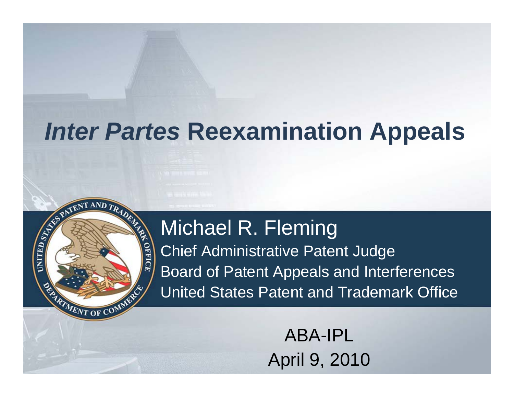#### Michael R. Fleming

**TAND** 

MENT OF C

OFFICE

**CONLINE** 

Chief Administrative Patent Judge Board of Patent Appeals and Interferences United States Patent and Trademark Office

> ABA-IPLApril 9, 2010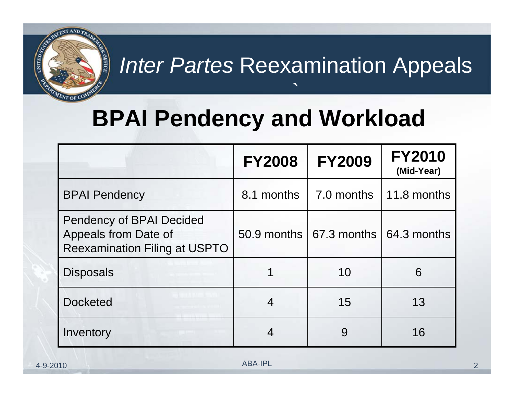

`

# **BPAI Pendency and Workload**

|                                                                                                 | <b>FY2008</b> | <b>FY2009</b>                      | <b>FY2010</b><br>(Mid-Year) |
|-------------------------------------------------------------------------------------------------|---------------|------------------------------------|-----------------------------|
| <b>BPAI Pendency</b>                                                                            | 8.1 months    | 7.0 months                         | 11.8 months                 |
| <b>Pendency of BPAI Decided</b><br>Appeals from Date of<br><b>Reexamination Filing at USPTO</b> |               | $50.9$ months $\sqrt{67.3}$ months | 64.3 months                 |
| <b>Disposals</b>                                                                                |               | 10                                 | 6                           |
| <b>Docketed</b>                                                                                 | 4             | 15                                 | 13                          |
| Inventory                                                                                       |               | 9                                  | 16                          |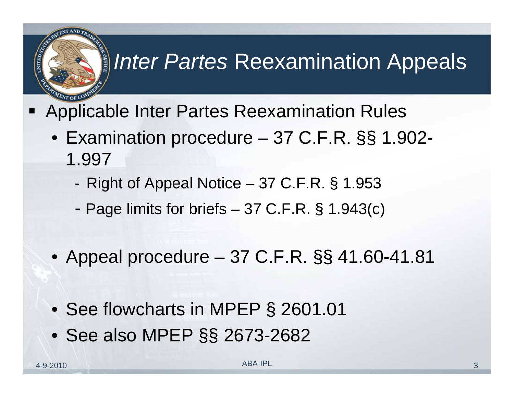- Applicable Inter Partes Reexamination Rules
	- Examination procedure 37 C.F.R. §§ 1.902- 1.997
		- -Right of Appeal Notice – 37 C.F.R. § 1.953
		- -Page limits for briefs – 37 C.F.R. § 1.943(c)
	- Appeal procedure 37 C.F.R. §§ 41.60-41.81
	- See flowcharts in MPEP § 2601.01
	- See also MPEP §§ 2673-2682

**OFFIC**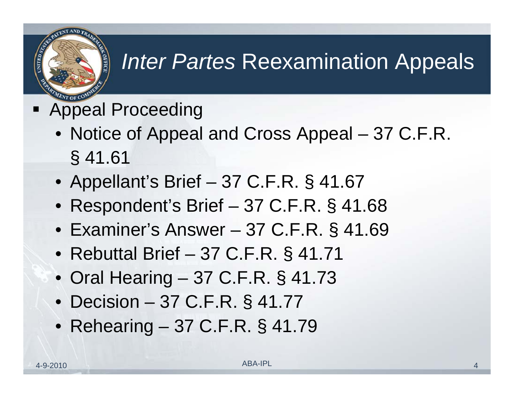

- Ξ Appeal Proceeding
	- Notice of Appeal and Cross Appeal 37 C.F.R. § 41.61
	- Appellant's Brief 37 C.F.R. § 41.67
	- Respondent's Brief 37 C.F.R. § 41.68
	- Examiner's Answer 37 C.F.R. § 41.69
	- Rebuttal Brief 37 C.F.R. § 41.71
	- Oral Hearing 37 C.F.R. § 41.73
	- Decision 37 C.F.R. § 41.77
	- Rehearing 37 C.F.R. § 41.79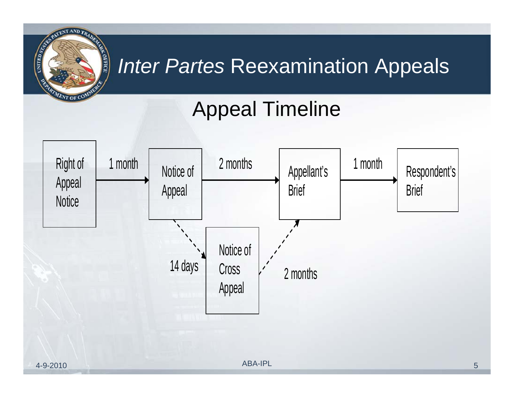# Appeal Timeline



**PATENT AND TR** 

 $\varepsilon_{NT$  of  $\mathrm{C}^\mathrm{C}$ 

**OFFICE** 

**CHILED STATES**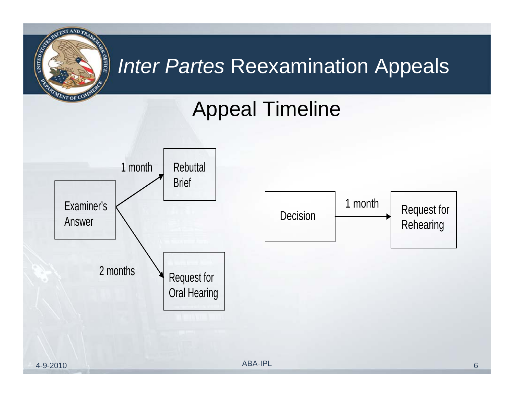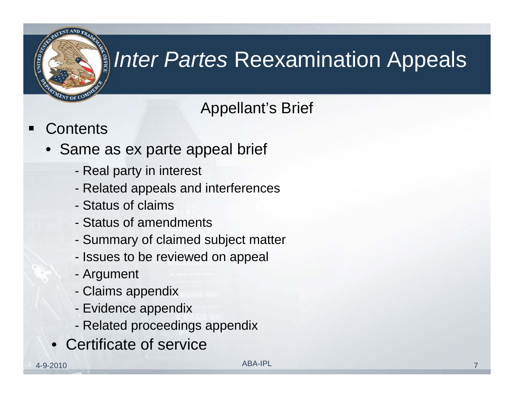

#### Appellant's Brief

- $\blacksquare$ **Contents** 
	- Same as ex parte appeal brief
		- Real party in interest
		- Related appeals and interferences
		- Status of claims
		- Status of amendments
		- -Summary of claimed subject matter
		- Issues to be reviewed on appeal
		- Argument
		- Claims appendix
		- Evidence appendix
		- Related proceedings appendix
		- •Certificate of service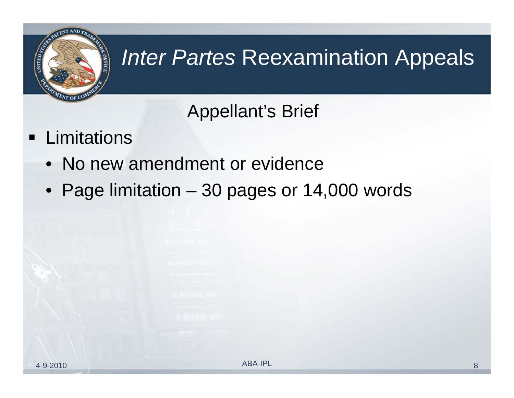

#### Appellant's Brief

- $\blacksquare$ **Limitations** 
	- No new amendment or evidence
	- Page limitation 30 pages or 14,000 words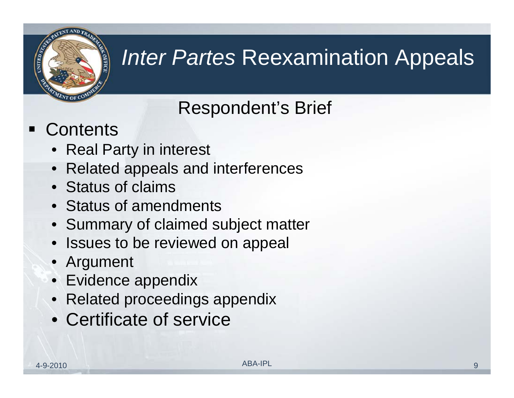

#### Respondent's Brief

#### Contents

- Real Party in interest
- Related appeals and interferences
- Status of claims
- Status of amendments
- Summary of claimed subject matter
- Issues to be reviewed on appeal
- Argument
- Evidence appendix
- Related proceedings appendix
- Certificate of service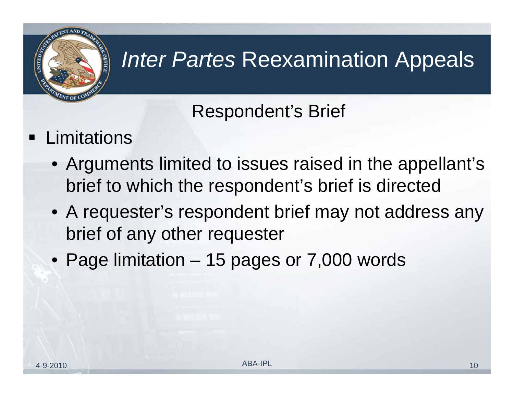

#### Respondent's Brief

- $\blacksquare$ **Limitations** 
	- Arguments limited to issues raised in the appellant's brief to which the respondent's brief is directed
	- A requester's respondent brief may not address any brief of any other requester
	- Page limitation 15 pages or 7,000 words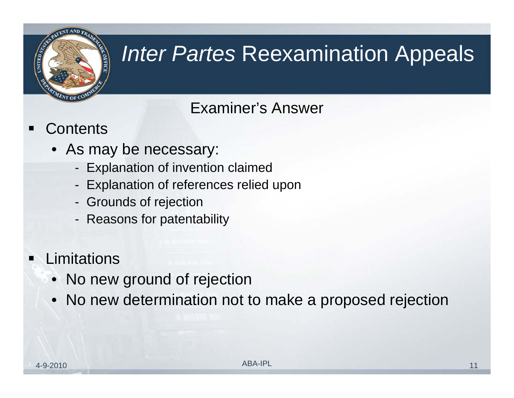

#### Examiner's Answer

- $\blacksquare$ **Contents** 
	- As may be necessary:
		- Explanation of invention claimed
		- Explanation of references relied upon
		- Grounds of rejection
		- -Reasons for patentability

#### $\blacksquare$ **Limitations**

- No new ground of rejection
- No new determination not to make a proposed rejection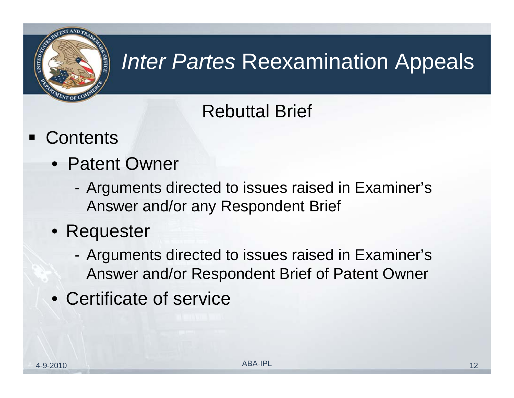

#### Rebuttal Brief

- Contents
	- Patent Owner
		- - Arguments directed to issues raised in Examiner's Answer and/or any Respondent Brief
	- Requester
		- - Arguments directed to issues raised in Examiner's Answer and/or Respondent Brief of Patent Owner
	- Certificate of service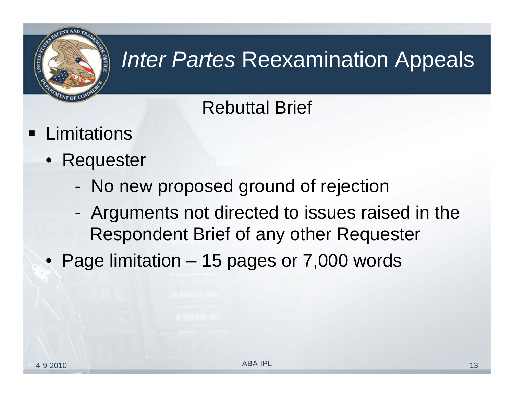

#### Rebuttal Brief

- **Example 1** Limitations
	- Requester
		- -No new proposed ground of rejection
		- - Arguments not directed to issues raised in the Respondent Brief of any other Requester
	- Page limitation 15 pages or 7,000 words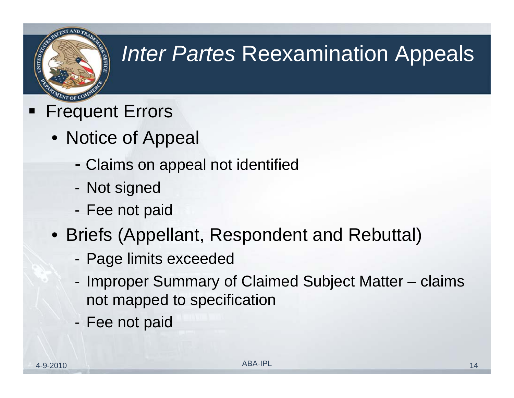

- Frequent Errors
	- Notice of Appeal
		- -Claims on appeal not identified
		- -Not signed
		- -Fee not paid
	- Briefs (Appellant, Respondent and Rebuttal)
		- Page limits exceeded
		- Improper Summary of Claimed Subject Matter claims not mapped to specification
		- -Fee not paid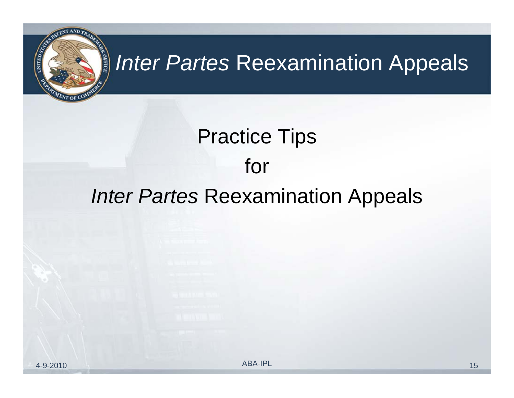

# Practice Tips for *Inter Partes* Reexamination Appeals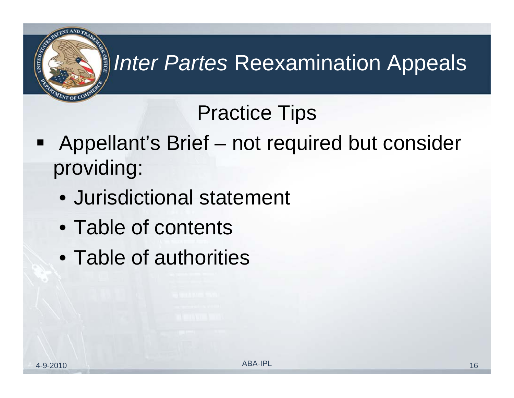- Appellant's Brief not required but consider providing:
	- Jurisdictional statement
	- Table of contents
	- Table of authorities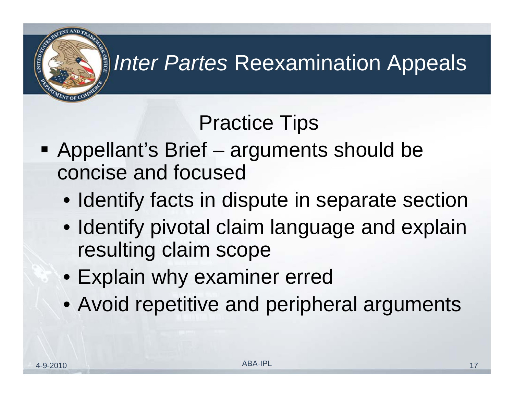- Appellant's Brief arguments should be concise and focused
	- Identify facts in dispute in separate section
	- Identify pivotal claim language and explain resulting claim scope
	- Explain why examiner erred
	- Avoid repetitive and peripheral arguments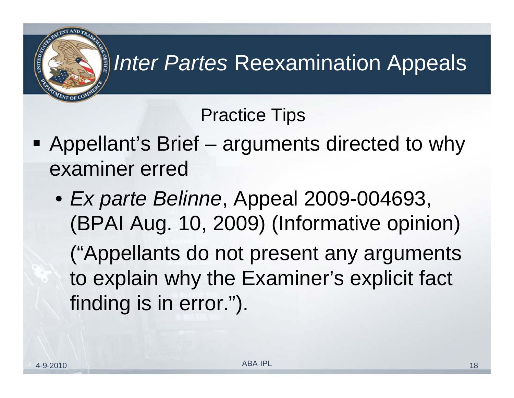- **Appellant's Brief arguments directed to why** examiner erred
	- *Ex parte Belinne*, Appeal 2009-004693, (BPAI Aug. 10, 2009) (Informative opinion) ("Appellants do not present any arguments to explain why the Examiner's explicit fact finding is in error.").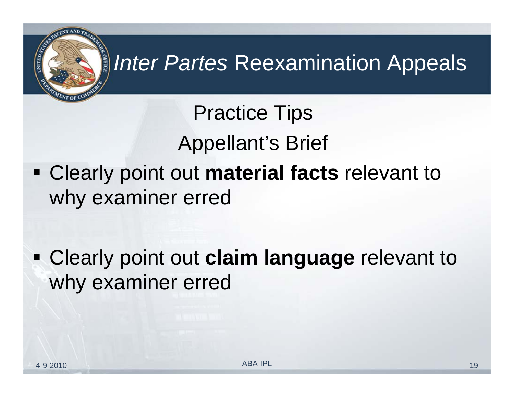Practice Tips Appellant's Brief Clearly point out **material facts** relevant to why examiner erred

 Clearly point out **claim language** relevant to why examiner erred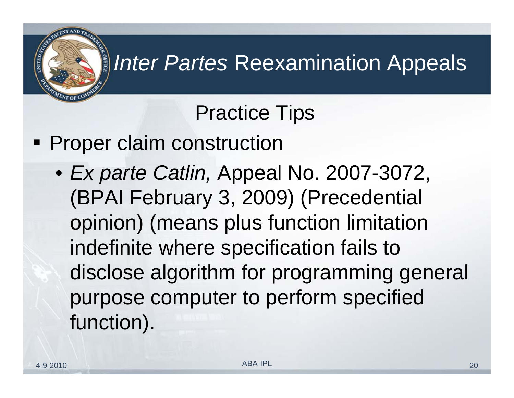#### Practice Tips

**Proper claim construction** 

• *Ex parte Catlin,* Appeal No. 2007-3072, (BPAI February 3, 2009) (Precedential opinion) (means plus function limitation indefinite where specification fails to disclose algorithm for programming general purpose computer to perform specified function).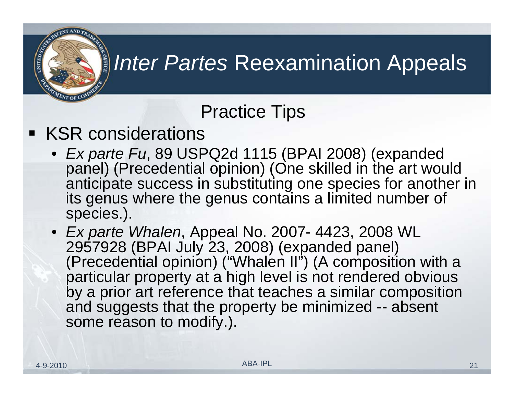#### Practice Tips

#### **KSR considerations**

- *Ex parte Fu*, 89 USPQ2d 1115 (BPAI 2008) (expanded panel) (Precedential opinion) (One skilled in the art would anticipate success in substituting one species for another in its genus where the genus contains a limited number of species.).
- *Ex parte Whalen*, Appeal No. 2007- 4423, 2008 WL 2957928 (BPAI July 23, 2008) (expanded panel) (Precedential opinion) ("Whalen II") (A composition with a particular property at a high level is not rendered obvious by a prior art reference that teaches a similar composition and suggests that the property be minimized -- absent some reason to modify.).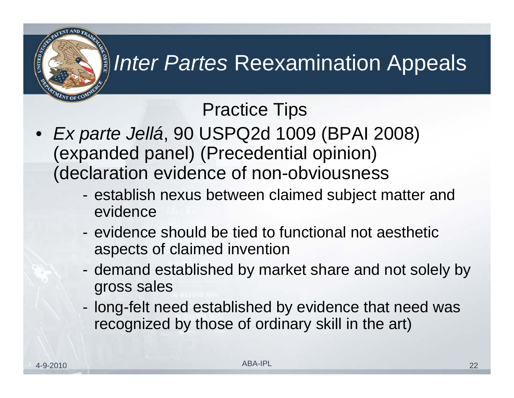- *Ex parte Jellá*, 90 USPQ2d 1009 (BPAI 2008) (expanded panel) (Precedential opinion) (declaration evidence of non-obviousness
	- establish nexus between claimed subject matter and evidence
	- evidence should be tied to functional not aesthetic aspects of claimed invention
	- demand established by market share and not solely by gross sales
	- long-felt need established by evidence that need was recognized by those of ordinary skill in the art)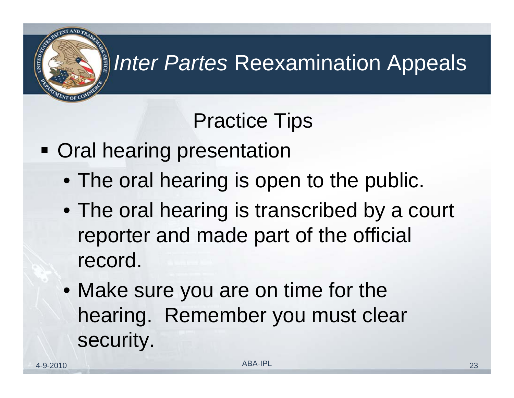- **Oral hearing presentation** 
	- The oral hearing is open to the public.
	- The oral hearing is transcribed by a court reporter and made part of the official record.
	- Make sure you are on time for the hearing. Remember you must clear security.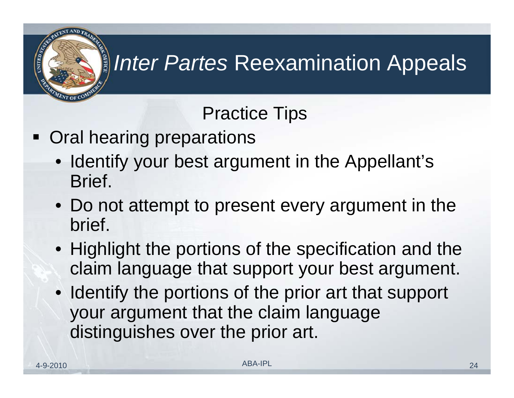- **Oral hearing preparations** 
	- Identify your best argument in the Appellant's Brief.
	- Do not attempt to present every argument in the brief.
	- Highlight the portions of the specification and the claim language that support your best argument.
	- Identify the portions of the prior art that support your argument that the claim language distinguishes over the prior art.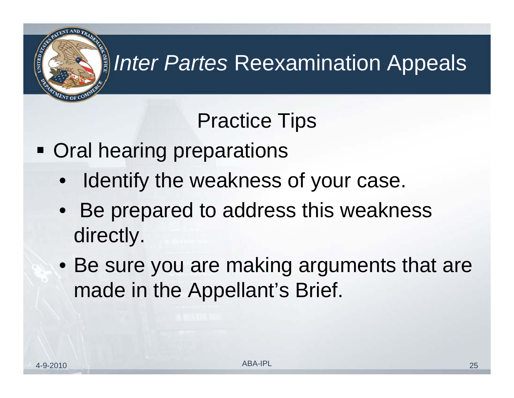

- **Oral hearing preparations** 
	- $\bullet$ Identify the weakness of your case.
	- Be prepared to address this weakness directly.
	- Be sure you are making arguments that are made in the Appellant's Brief.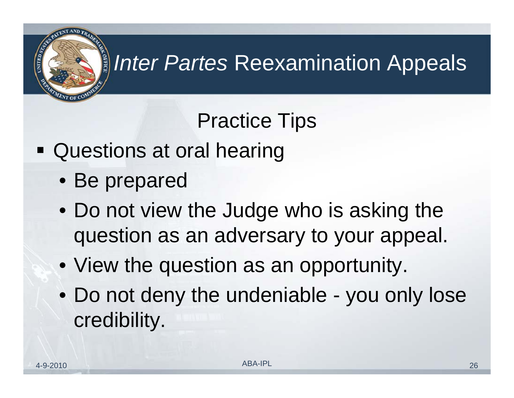

- Questions at oral hearing
	- Be prepared
	- Do not view the Judge who is asking the question as an adversary to your appeal.
	- View the question as an opportunity.
	- Do not deny the undeniable you only lose credibility.